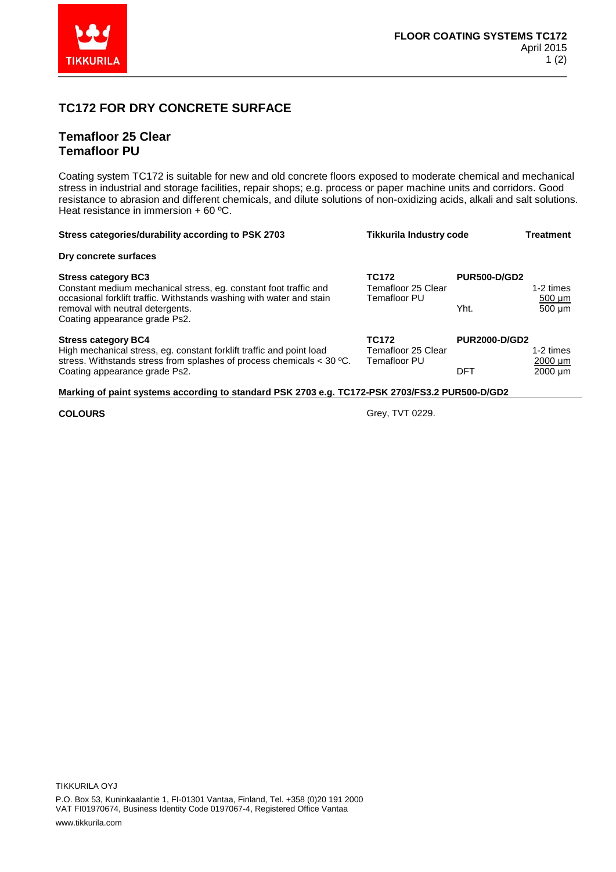

## **TC172 FOR DRY CONCRETE SURFACE**

## **Temafloor 25 Clear Temafloor PU**

Coating system TC172 is suitable for new and old concrete floors exposed to moderate chemical and mechanical stress in industrial and storage facilities, repair shops; e.g. process or paper machine units and corridors. Good resistance to abrasion and different chemicals, and dilute solutions of non-oxidizing acids, alkali and salt solutions. Heat resistance in immersion + 60 ºC.

| Stress categories/durability according to PSK 2703                                                                                                                                                                                          | Tikkurila Industry code                            |                                    | Treatment                                 |  |
|---------------------------------------------------------------------------------------------------------------------------------------------------------------------------------------------------------------------------------------------|----------------------------------------------------|------------------------------------|-------------------------------------------|--|
| Dry concrete surfaces                                                                                                                                                                                                                       |                                                    |                                    |                                           |  |
| <b>Stress category BC3</b><br>Constant medium mechanical stress, eq. constant foot traffic and<br>occasional forklift traffic. Withstands washing with water and stain<br>removal with neutral detergents.<br>Coating appearance grade Ps2. | <b>TC172</b><br>Temafloor 25 Clear<br>Temafloor PU | <b>PUR500-D/GD2</b><br>Yht.        | 1-2 times<br>$500 \mu m$<br>500 um        |  |
| <b>Stress category BC4</b><br>High mechanical stress, eg. constant forklift traffic and point load<br>stress. With stands stress from splashes of process chemicals $<$ 30 °C.<br>Coating appearance grade Ps2.                             | <b>TC172</b><br>Temafloor 25 Clear<br>Temafloor PU | <b>PUR2000-D/GD2</b><br><b>DFT</b> | 1-2 times<br>$2000 \mu m$<br>$2000 \mu m$ |  |
| Marking of paint systems according to standard PSK 2703 e.g. TC172-PSK 2703/FS3.2 PUR500-D/GD2                                                                                                                                              |                                                    |                                    |                                           |  |

**COLOURS** Grey, TVT 0229.